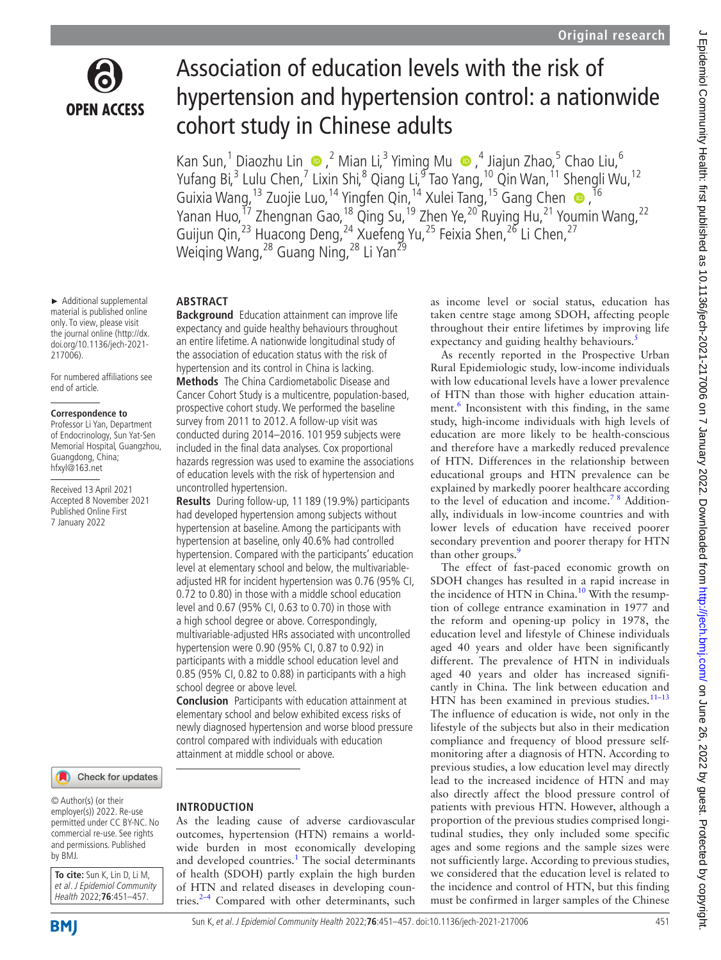

Association of education levels with the risk of hypertension and hypertension control: a nationwide cohort study in Chinese adults

KanSun,<sup>1</sup> Diaozhu Lin (D, <sup>2</sup> Mian Li, <sup>3</sup> Yiming Mu (D, <sup>4</sup> Jiajun Zhao, 5 Chao Liu, <sup>6</sup> Yufang Bi,<sup>3</sup> Lulu Chen,<sup>7</sup> Lixin Shi,<sup>8</sup> Qiang Li,<sup>9</sup> Tao Yang,<sup>10</sup> Qin Wan,<sup>11</sup> Shengli Wu,<sup>12</sup> Guixia Wang, <sup>13</sup> Zuojie Luo, <sup>14</sup> Yingfen Qin, <sup>14</sup> Xulei Tang, <sup>15</sup> Gang Chen <sup>n, 16</sup> Yanan Huo,<sup>17</sup> Zhengnan Gao,<sup>18</sup> Qing Su,<sup>19</sup> Zhen Ye,<sup>20</sup> Ruying Hu,<sup>21</sup> Youmin Wang,<sup>22</sup> Guijun Qin,<sup>23</sup> Huacong Deng,<sup>24</sup> Xuefeng Yu,<sup>25</sup> Feixia Shen,<sup>26</sup> Li Chen,<sup>27</sup> Weiqing Wang,<sup>28</sup> Guang Ning,<sup>28</sup> Li Yan<sup>29</sup>

► Additional supplemental material is published online only. To view, please visit the journal online [\(http://dx.](http://dx.doi.org/10.1136/jech-2021-217006) [doi.org/10.1136/jech-2021-](http://dx.doi.org/10.1136/jech-2021-217006) [217006](http://dx.doi.org/10.1136/jech-2021-217006)).

For numbered affiliations see end of article.

#### **Correspondence to**

Professor Li Yan, Department of Endocrinology, Sun Yat-Sen Memorial Hospital, Guangzhou, Guangdong, China; hfxyl@163.net

Received 13 April 2021 Accepted 8 November 2021 Published Online First 7 January 2022

### Check for updates

© Author(s) (or their employer(s)) 2022. Re-use permitted under CC BY-NC. No commercial re-use. See rights and permissions. Published by BMJ.

**To cite:** Sun K, Lin D, Li M, et al. J Epidemiol Community Health 2022;**76**:451–457.

## **ABSTRACT**

**Background** Education attainment can improve life expectancy and guide healthy behaviours throughout an entire lifetime. A nationwide longitudinal study of the association of education status with the risk of hypertension and its control in China is lacking. **Methods** The China Cardiometabolic Disease and Cancer Cohort Study is a multicentre, population-based, prospective cohort study. We performed the baseline survey from 2011 to 2012. A follow-up visit was conducted during 2014–2016. 101 959 subjects were included in the final data analyses. Cox proportional hazards regression was used to examine the associations of education levels with the risk of hypertension and uncontrolled hypertension.

**Results** During follow-up, 11 189 (19.9%) participants had developed hypertension among subjects without hypertension at baseline. Among the participants with hypertension at baseline, only 40.6% had controlled hypertension. Compared with the participants' education level at elementary school and below, the multivariableadjusted HR for incident hypertension was 0.76 (95% CI, 0.72 to 0.80) in those with a middle school education level and 0.67 (95% CI, 0.63 to 0.70) in those with a high school degree or above. Correspondingly, multivariable-adjusted HRs associated with uncontrolled hypertension were 0.90 (95% CI, 0.87 to 0.92) in participants with a middle school education level and 0.85 (95% CI, 0.82 to 0.88) in participants with a high school degree or above level.

**Conclusion** Participants with education attainment at elementary school and below exhibited excess risks of newly diagnosed hypertension and worse blood pressure control compared with individuals with education attainment at middle school or above.

# **INTRODUCTION**

As the leading cause of adverse cardiovascular outcomes, hypertension (HTN) remains a worldwide burden in most economically developing and developed countries.<sup>[1](#page-5-0)</sup> The social determinants of health (SDOH) partly explain the high burden of HTN and related diseases in developing countries. $2-4$  Compared with other determinants, such

as income level or social status, education has taken centre stage among SDOH, affecting people throughout their entire lifetimes by improving life expectancy and guiding healthy behaviours.<sup>5</sup>

As recently reported in the Prospective Urban Rural Epidemiologic study, low-income individuals with low educational levels have a lower prevalence of HTN than those with higher education attain-ment.<sup>[6](#page-5-3)</sup> Inconsistent with this finding, in the same study, high-income individuals with high levels of education are more likely to be health-conscious and therefore have a markedly reduced prevalence of HTN. Differences in the relationship between educational groups and HTN prevalence can be explained by markedly poorer healthcare according to the level of education and income.<sup>78</sup> Additionally, individuals in low-income countries and with lower levels of education have received poorer secondary prevention and poorer therapy for HTN than other groups.<sup>[9](#page-5-5)</sup>

The effect of fast-paced economic growth on SDOH changes has resulted in a rapid increase in the incidence of HTN in China.<sup>[10](#page-5-6)</sup> With the resumption of college entrance examination in 1977 and the reform and opening-up policy in 1978, the education level and lifestyle of Chinese individuals aged 40 years and older have been significantly different. The prevalence of HTN in individuals aged 40 years and older has increased significantly in China. The link between education and HTN has been examined in previous studies.<sup>11-13</sup> The influence of education is wide, not only in the lifestyle of the subjects but also in their medication compliance and frequency of blood pressure selfmonitoring after a diagnosis of HTN. According to previous studies, a low education level may directly lead to the increased incidence of HTN and may also directly affect the blood pressure control of patients with previous HTN. However, although a proportion of the previous studies comprised longitudinal studies, they only included some specific ages and some regions and the sample sizes were not sufficiently large. According to previous studies, we considered that the education level is related to the incidence and control of HTN, but this finding must be confirmed in larger samples of the Chinese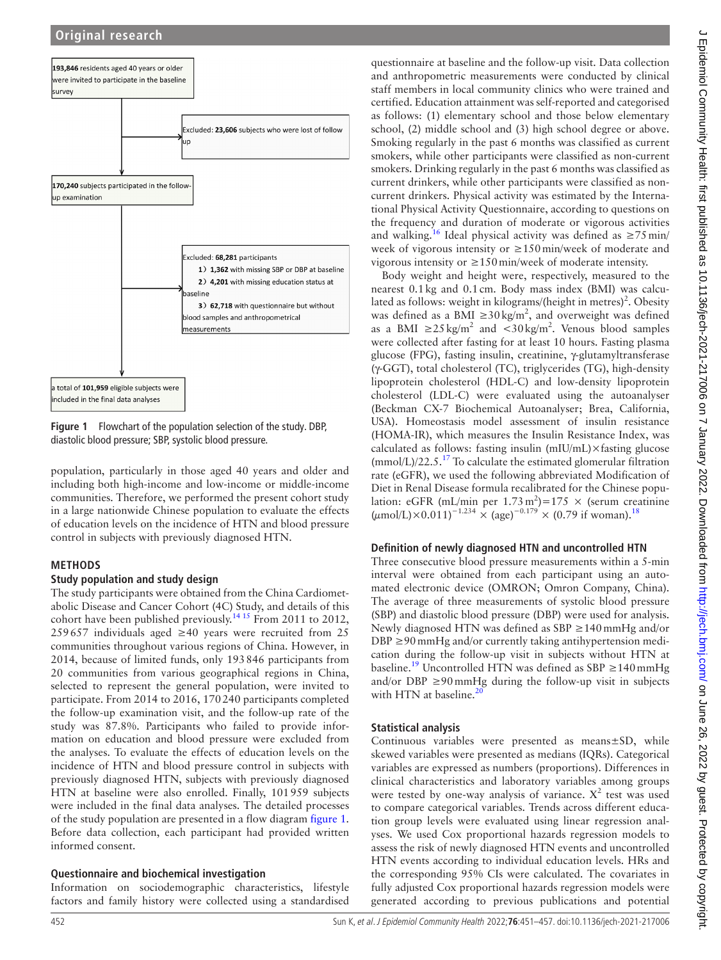

<span id="page-1-0"></span>**Figure 1** Flowchart of the population selection of the study. DBP, diastolic blood pressure; SBP, systolic blood pressure.

population, particularly in those aged 40 years and older and including both high-income and low-income or middle-income communities. Therefore, we performed the present cohort study in a large nationwide Chinese population to evaluate the effects of education levels on the incidence of HTN and blood pressure control in subjects with previously diagnosed HTN.

### **METHODS**

### **Study population and study design**

The study participants were obtained from the China Cardiometabolic Disease and Cancer Cohort (4C) Study, and details of this cohort have been published previously.<sup>1415</sup> From 2011 to 2012, 259 657 individuals aged ≥40 years were recruited from 25 communities throughout various regions of China. However, in 2014, because of limited funds, only 193846 participants from 20 communities from various geographical regions in China, selected to represent the general population, were invited to participate. From 2014 to 2016, 170240 participants completed the follow-up examination visit, and the follow-up rate of the study was 87.8%. Participants who failed to provide information on education and blood pressure were excluded from the analyses. To evaluate the effects of education levels on the incidence of HTN and blood pressure control in subjects with previously diagnosed HTN, subjects with previously diagnosed HTN at baseline were also enrolled. Finally, 101959 subjects were included in the final data analyses. The detailed processes of the study population are presented in a flow diagram [figure](#page-1-0) 1. Before data collection, each participant had provided written informed consent.

### **Questionnaire and biochemical investigation**

Information on sociodemographic characteristics, lifestyle factors and family history were collected using a standardised

questionnaire at baseline and the follow-up visit. Data collection and anthropometric measurements were conducted by clinical staff members in local community clinics who were trained and certified. Education attainment was self-reported and categorised as follows: (1) elementary school and those below elementary school, (2) middle school and (3) high school degree or above. Smoking regularly in the past 6 months was classified as current smokers, while other participants were classified as non-current smokers. Drinking regularly in the past 6 months was classified as current drinkers, while other participants were classified as noncurrent drinkers. Physical activity was estimated by the International Physical Activity Questionnaire, according to questions on the frequency and duration of moderate or vigorous activities and walking.<sup>16</sup> Ideal physical activity was defined as  $\geq 75$  min/ week of vigorous intensity or ≥150 min/week of moderate and vigorous intensity or ≥150 min/week of moderate intensity.

Body weight and height were, respectively, measured to the nearest 0.1kg and 0.1cm. Body mass index (BMI) was calculated as follows: weight in kilograms/(height in metres)<sup>2</sup>. Obesity was defined as a BMI  $\geq 30 \text{ kg/m}^2$ , and overweight was defined as a BMI ≥25 $kg/m^2$  and <30 $kg/m^2$ . Venous blood samples were collected after fasting for at least 10 hours. Fasting plasma glucose (FPG), fasting insulin, creatinine, γ-glutamyltransferase (γ-GGT), total cholesterol (TC), triglycerides (TG), high-density lipoprotein cholesterol (HDL-C) and low-density lipoprotein cholesterol (LDL-C) were evaluated using the autoanalyser (Beckman CX-7 Biochemical Autoanalyser; Brea, California, USA). Homeostasis model assessment of insulin resistance (HOMA-IR), which measures the Insulin Resistance Index, was calculated as follows: fasting insulin (mIU/mL)×fasting glucose  $\text{ (mmol/L)}/22.5$ .<sup>[17](#page-6-2)</sup> To calculate the estimated glomerular filtration rate (eGFR), we used the following abbreviated Modification of Diet in Renal Disease formula recalibrated for the Chinese population: eGFR (mL/min per  $1.73 \text{ m}^2$ )=175 × (serum creatinine  $(\mu \text{mol/L}) \times 0.011$ )<sup>-1.234</sup> × (age)<sup>-0.179</sup> × (0.79 if woman).<sup>[18](#page-6-3)</sup>

### **Definition of newly diagnosed HTN and uncontrolled HTN**

Three consecutive blood pressure measurements within a 5-min interval were obtained from each participant using an automated electronic device (OMRON; Omron Company, China). The average of three measurements of systolic blood pressure (SBP) and diastolic blood pressure (DBP) were used for analysis. Newly diagnosed HTN was defined as SBP ≥140 mmHg and/or  $DBP \geq 90$  mmHg and/or currently taking antihypertension medication during the follow-up visit in subjects without HTN at baseline.<sup>[19](#page-6-4)</sup> Uncontrolled HTN was defined as SBP  $\geq$  140 mmHg and/or DBP  $\geq$ 90 $mmHg$  during the follow-up visit in subjects with HTN at baseline. $^{20}$  $^{20}$  $^{20}$ 

### **Statistical analysis**

Continuous variables were presented as means±SD, while skewed variables were presented as medians (IQRs). Categorical variables are expressed as numbers (proportions). Differences in clinical characteristics and laboratory variables among groups were tested by one-way analysis of variance.  $X^2$  test was used to compare categorical variables. Trends across different education group levels were evaluated using linear regression analyses. We used Cox proportional hazards regression models to assess the risk of newly diagnosed HTN events and uncontrolled HTN events according to individual education levels. HRs and the corresponding 95% CIs were calculated. The covariates in fully adjusted Cox proportional hazards regression models were generated according to previous publications and potential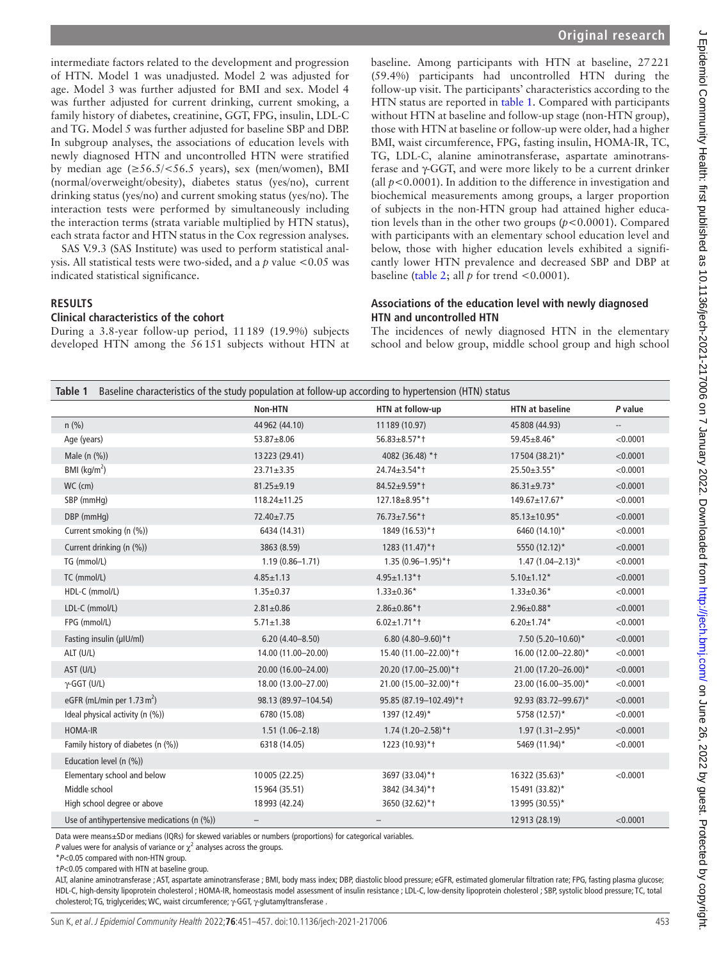intermediate factors related to the development and progression of HTN. Model 1 was unadjusted. Model 2 was adjusted for age. Model 3 was further adjusted for BMI and sex. Model 4 was further adjusted for current drinking, current smoking, a family history of diabetes, creatinine, GGT, FPG, insulin, LDL-C and TG. Model 5 was further adjusted for baseline SBP and DBP. In subgroup analyses, the associations of education levels with newly diagnosed HTN and uncontrolled HTN were stratified by median age  $(\geq 56.5/\leq 56.5$  years), sex (men/women), BMI (normal/overweight/obesity), diabetes status (yes/no), current drinking status (yes/no) and current smoking status (yes/no). The interaction tests were performed by simultaneously including the interaction terms (strata variable multiplied by HTN status), each strata factor and HTN status in the Cox regression analyses.

SAS V.9.3 (SAS Institute) was used to perform statistical analysis. All statistical tests were two-sided, and a *p* value <0.05 was indicated statistical significance.

#### **RESULTS**

#### **Clinical characteristics of the cohort**

During a 3.8-year follow-up period, 11189 (19.9%) subjects developed HTN among the 56151 subjects without HTN at baseline. Among participants with HTN at baseline, 27221 (59.4%) participants had uncontrolled HTN during the follow-up visit. The participants' characteristics according to the HTN status are reported in [table](#page-2-0) 1. Compared with participants without HTN at baseline and follow-up stage (non-HTN group), those with HTN at baseline or follow-up were older, had a higher BMI, waist circumference, FPG, fasting insulin, HOMA-IR, TC, TG, LDL-C, alanine aminotransferase, aspartate aminotransferase and γ-GGT, and were more likely to be a current drinker (all  $p < 0.0001$ ). In addition to the difference in investigation and biochemical measurements among groups, a larger proportion of subjects in the non-HTN group had attained higher education levels than in the other two groups (*p*<0.0001). Compared with participants with an elementary school education level and below, those with higher education levels exhibited a significantly lower HTN prevalence and decreased SBP and DBP at baseline ([table](#page-3-0) 2; all  $p$  for trend <0.0001).

#### **Associations of the education level with newly diagnosed HTN and uncontrolled HTN**

The incidences of newly diagnosed HTN in the elementary school and below group, middle school group and high school

<span id="page-2-0"></span>

| Baseline characteristics of the study population at follow-up according to hypertension (HTN) status<br>Table 1 |                          |                          |                        |                          |  |
|-----------------------------------------------------------------------------------------------------------------|--------------------------|--------------------------|------------------------|--------------------------|--|
|                                                                                                                 | Non-HTN                  | HTN at follow-up         | <b>HTN at baseline</b> | P value                  |  |
| $n$ (%)                                                                                                         | 44 962 (44.10)           | 11 189 (10.97)           | 45 808 (44.93)         | $\overline{\phantom{a}}$ |  |
| Age (years)                                                                                                     | 53.87±8.06               | 56.83±8.57*t             | 59.45±8.46*            | < 0.0001                 |  |
| Male (n (%))                                                                                                    | 13223 (29.41)            | 4082 (36.48) * +         | 17504 (38.21)*         | < 0.0001                 |  |
| BMI ( $\text{kg/m}^2$ )                                                                                         | $23.71 \pm 3.35$         | 24.74±3.54*1             | 25.50±3.55*            | < 0.0001                 |  |
| WC (cm)                                                                                                         | $81.25 \pm 9.19$         | 84.52±9.59*1             | $86.31 \pm 9.73$ *     | < 0.0001                 |  |
| SBP (mmHq)                                                                                                      | $118.24 \pm 11.25$       | 127.18±8.95*1            | 149.67±17.67*          | < 0.0001                 |  |
| DBP (mmHq)                                                                                                      | 72.40±7.75               | 76.73±7.56*1             | 85.13±10.95*           | < 0.0001                 |  |
| Current smoking (n (%))                                                                                         | 6434 (14.31)             | 1849 (16.53)*+           | 6460 (14.10)*          | < 0.0001                 |  |
| Current drinking (n (%))                                                                                        | 3863 (8.59)              | 1283 (11.47)*+           | 5550 (12.12)*          | < 0.0001                 |  |
| TG (mmol/L)                                                                                                     | $1.19(0.86 - 1.71)$      | $1.35(0.96 - 1.95)$ *1   | $1.47(1.04 - 2.13)^*$  | < 0.0001                 |  |
| TC (mmol/L)                                                                                                     | $4.85 \pm 1.13$          | $4.95 \pm 1.13$ *1       | $5.10 \pm 1.12*$       | < 0.0001                 |  |
| HDL-C (mmol/L)                                                                                                  | $1.35 \pm 0.37$          | $1.33 \pm 0.36*$         | $1.33 \pm 0.36*$       | < 0.0001                 |  |
| LDL-C (mmol/L)                                                                                                  | $2.81 \pm 0.86$          | $2.86 \pm 0.86$ * t      | $2.96 \pm 0.88*$       | < 0.0001                 |  |
| FPG (mmol/L)                                                                                                    | $5.71 \pm 1.38$          | $6.02 \pm 1.71$ * †      | $6.20 \pm 1.74*$       | < 0.0001                 |  |
| Fasting insulin (µIU/ml)                                                                                        | $6.20(4.40 - 8.50)$      | 6.80 (4.80-9.60)*1       | 7.50 (5.20-10.60)*     | < 0.0001                 |  |
| ALT (U/L)                                                                                                       | 14.00 (11.00-20.00)      | 15.40 (11.00-22.00)*1    | 16.00 (12.00-22.80)*   | < 0.0001                 |  |
| AST (U/L)                                                                                                       | 20.00 (16.00-24.00)      | 20.20 (17.00-25.00)*1    | 21.00 (17.20-26.00)*   | < 0.0001                 |  |
| $\gamma$ -GGT (U/L)                                                                                             | 18.00 (13.00-27.00)      | 21.00 (15.00-32.00)*+    | 23.00 (16.00-35.00)*   | < 0.0001                 |  |
| eGFR (mL/min per 1.73 $m2$ )                                                                                    | 98.13 (89.97-104.54)     | 95.85 (87.19-102.49)*1   | 92.93 (83.72-99.67)*   | < 0.0001                 |  |
| Ideal physical activity (n (%))                                                                                 | 6780 (15.08)             | 1397 (12.49)*            | 5758 (12.57)*          | < 0.0001                 |  |
| HOMA-IR                                                                                                         | $1.51(1.06 - 2.18)$      | $1.74(1.20 - 2.58)*†$    | $1.97(1.31 - 2.95)^*$  | < 0.0001                 |  |
| Family history of diabetes (n (%))                                                                              | 6318 (14.05)             | 1223 (10.93)*1           | 5469 (11.94)*          | < 0.0001                 |  |
| Education level (n (%))                                                                                         |                          |                          |                        |                          |  |
| Elementary school and below                                                                                     | 10005 (22.25)            | 3697 (33.04)*+           | 16322 (35.63)*         | < 0.0001                 |  |
| Middle school                                                                                                   | 15964 (35.51)            | 3842 (34.34)*+           | 15491 (33.82)*         |                          |  |
| High school degree or above                                                                                     | 18993 (42.24)            | 3650 (32.62)*+           | 13 995 (30.55)*        |                          |  |
| Use of antihypertensive medications (n (%))                                                                     | $\overline{\phantom{0}}$ | $\overline{\phantom{0}}$ | 12913 (28.19)          | < 0.0001                 |  |

Data were means±SDor medians (IQRs) for skewed variables or numbers (proportions) for categorical variables.

P values were for analysis of variance or  $\chi^2$  analyses across the groups.

\**P*<0.05 compared with non-HTN group.

†*P*<0.05 compared with HTN at baseline group.

ALT, alanine aminotransferase ; AST, aspartate aminotransferase ; BMI, body mass index; DBP, diastolic blood pressure; eGFR, estimated glomerular filtration rate; FPG, fasting plasma glucose; HDL-C, high-density lipoprotein cholesterol ; HOMA-IR, homeostasis model assessment of insulin resistance ; LDL-C, low-density lipoprotein cholesterol ; SBP, systolic blood pressure; TC, total cholesterol; TG, triglycerides; WC, waist circumference; γ-GGT, γ-glutamyltransferase .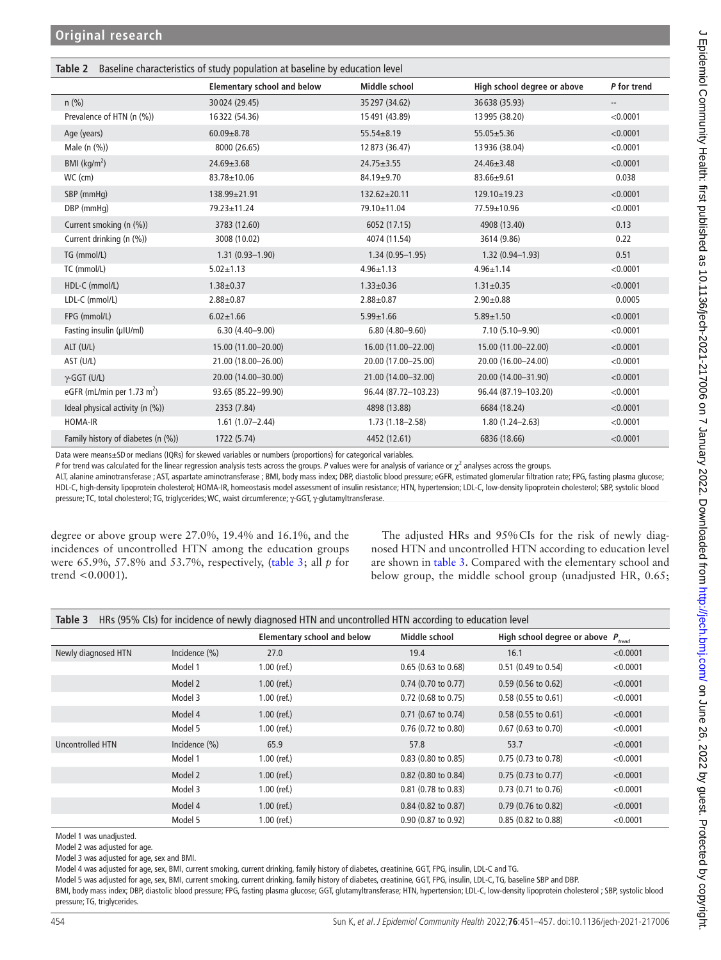<span id="page-3-0"></span>

| Table 2 Baseline characteristics of study population at baseline by education level |  |  |
|-------------------------------------------------------------------------------------|--|--|
|                                                                                     |  |  |

|                                        | <b>Elementary school and below</b> | Middle school        | High school degree or above | P for trend              |
|----------------------------------------|------------------------------------|----------------------|-----------------------------|--------------------------|
| $n$ (%)                                | 30024 (29.45)                      | 35 297 (34.62)       | 36 638 (35.93)              | $\overline{\phantom{a}}$ |
| Prevalence of HTN (n (%))              | 16322 (54.36)                      | 15 491 (43.89)       | 13 995 (38.20)              | < 0.0001                 |
| Age (years)                            | $60.09 + 8.78$                     | $55.54 \pm 8.19$     | $55.05 \pm 5.36$            | < 0.0001                 |
| Male (n (%))                           | 8000 (26.65)                       | 12 873 (36.47)       | 13 936 (38.04)              | < 0.0001                 |
| BMI ( $\text{kg/m}^2$ )                | $24.69 \pm 3.68$                   | $24.75 \pm 3.55$     | $24.46 \pm 3.48$            | < 0.0001                 |
| $WC$ (cm)                              | 83.78±10.06                        | 84.19±9.70           | 83.66±9.61                  | 0.038                    |
| SBP (mmHq)                             | 138.99±21.91                       | 132.62±20.11         | 129.10±19.23                | < 0.0001                 |
| DBP (mmHq)                             | 79.23±11.24                        | 79.10±11.04          | 77.59±10.96                 | < 0.0001                 |
| Current smoking (n (%))                | 3783 (12.60)                       | 6052 (17.15)         | 4908 (13.40)                | 0.13                     |
| Current drinking (n (%))               | 3008 (10.02)                       | 4074 (11.54)         | 3614 (9.86)                 | 0.22                     |
| TG (mmol/L)                            | $1.31(0.93 - 1.90)$                | $1.34(0.95 - 1.95)$  | $1.32(0.94 - 1.93)$         | 0.51                     |
| TC (mmol/L)                            | $5.02 \pm 1.13$                    | $4.96 \pm 1.13$      | $4.96 \pm 1.14$             | < 0.0001                 |
| HDL-C (mmol/L)                         | $1.38 + 0.37$                      | $1.33 \pm 0.36$      | $1.31 \pm 0.35$             | < 0.0001                 |
| LDL-C (mmol/L)                         | $2.88 \pm 0.87$                    | $2.88 \pm 0.87$      | $2.90 \pm 0.88$             | 0.0005                   |
| FPG (mmol/L)                           | $6.02 \pm 1.66$                    | $5.99 \pm 1.66$      | $5.89 \pm 1.50$             | < 0.0001                 |
| Fasting insulin (µIU/ml)               | $6.30(4.40 - 9.00)$                | $6.80(4.80 - 9.60)$  | 7.10 (5.10-9.90)            | < 0.0001                 |
| ALT (U/L)                              | 15.00 (11.00-20.00)                | 16.00 (11.00-22.00)  | 15.00 (11.00-22.00)         | < 0.0001                 |
| AST (U/L)                              | 21.00 (18.00-26.00)                | 20.00 (17.00-25.00)  | 20.00 (16.00-24.00)         | < 0.0001                 |
| $\gamma$ -GGT (U/L)                    | 20.00 (14.00-30.00)                | 21.00 (14.00-32.00)  | 20.00 (14.00-31.90)         | < 0.0001                 |
| eGFR (mL/min per 1.73 m <sup>2</sup> ) | 93.65 (85.22-99.90)                | 96.44 (87.72-103.23) | 96.44 (87.19-103.20)        | < 0.0001                 |
| Ideal physical activity (n (%))        | 2353 (7.84)                        | 4898 (13.88)         | 6684 (18.24)                | < 0.0001                 |
| HOMA-IR                                | $1.61(1.07 - 2.44)$                | $1.73(1.18 - 2.58)$  | $1.80(1.24 - 2.63)$         | < 0.0001                 |
| Family history of diabetes (n (%))     | 1722 (5.74)                        | 4452 (12.61)         | 6836 (18.66)                | < 0.0001                 |

Data were means±SDor medians (IQRs) for skewed variables or numbers (proportions) for categorical variables.

P for trend was calculated for the linear regression analysis tests across the groups. P values were for analysis of variance or χ<sup>2</sup> analyses across the groups.

ALT, alanine aminotransferase ; AST, aspartate aminotransferase ; BMI, body mass index; DBP, diastolic blood pressure; eGFR, estimated glomerular filtration rate; FPG, fasting plasma glucose; HDL-C, high-density lipoprotein cholesterol; HOMA-IR, homeostasis model assessment of insulin resistance; HTN, hypertension; LDL-C, low-density lipoprotein cholesterol; SBP, systolic blood pressure; TC, total cholesterol; TG, triglycerides; WC, waist circumference; γ-GGT, γ-glutamyltransferase.

degree or above group were 27.0%, 19.4% and 16.1%, and the incidences of uncontrolled HTN among the education groups were 65.9%, 57.8% and 53.7%, respectively, [\(table](#page-3-1) 3; all *p* for trend <0.0001).

The adjusted HRs and 95%CIs for the risk of newly diagnosed HTN and uncontrolled HTN according to education level are shown in [table](#page-3-1) 3. Compared with the elementary school and below group, the middle school group (unadjusted HR, 0.65;

<span id="page-3-1"></span>

| Table 3<br>HRs (95% CIs) for incidence of newly diagnosed HTN and uncontrolled HTN according to education level |                  |                                    |                       |                                         |          |
|-----------------------------------------------------------------------------------------------------------------|------------------|------------------------------------|-----------------------|-----------------------------------------|----------|
|                                                                                                                 |                  | <b>Elementary school and below</b> | Middle school         | High school degree or above $P_{trend}$ |          |
| Newly diagnosed HTN                                                                                             | Incidence $(\%)$ | 27.0                               | 19.4                  | 16.1                                    | < 0.0001 |
|                                                                                                                 | Model 1          | $1.00$ (ref.)                      | $0.65$ (0.63 to 0.68) | 0.51 (0.49 to 0.54)                     | < 0.0001 |
|                                                                                                                 | Model 2          | $1.00$ (ref.)                      | $0.74$ (0.70 to 0.77) | $0.59$ (0.56 to 0.62)                   | < 0.0001 |
|                                                                                                                 | Model 3          | $1.00$ (ref.)                      | $0.72$ (0.68 to 0.75) | $0.58(0.55$ to $0.61)$                  | < 0.0001 |
|                                                                                                                 | Model 4          | $1.00$ (ref.)                      | $0.71$ (0.67 to 0.74) | $0.58(0.55 \text{ to } 0.61)$           | < 0.0001 |
|                                                                                                                 | Model 5          | $1.00$ (ref.)                      | $0.76$ (0.72 to 0.80) | $0.67$ (0.63 to 0.70)                   | < 0.0001 |
| Uncontrolled HTN                                                                                                | Incidence $(\%)$ | 65.9                               | 57.8                  | 53.7                                    | < 0.0001 |
|                                                                                                                 | Model 1          | $1.00$ (ref.)                      | $0.83$ (0.80 to 0.85) | 0.75 (0.73 to 0.78)                     | < 0.0001 |
|                                                                                                                 | Model 2          | $1.00$ (ref.)                      | $0.82$ (0.80 to 0.84) | $0.75$ (0.73 to 0.77)                   | < 0.0001 |
|                                                                                                                 | Model 3          | $1.00$ (ref.)                      | $0.81$ (0.78 to 0.83) | 0.73 (0.71 to 0.76)                     | < 0.0001 |
|                                                                                                                 | Model 4          | $1.00$ (ref.)                      | $0.84$ (0.82 to 0.87) | 0.79 (0.76 to 0.82)                     | < 0.0001 |
|                                                                                                                 | Model 5          | $1.00$ (ref.)                      | $0.90$ (0.87 to 0.92) | 0.85 (0.82 to 0.88)                     | < 0.0001 |

Model 1 was unadjusted.

Model 2 was adjusted for age.

Model 3 was adjusted for age, sex and BMI.

Model 4 was adjusted for age, sex, BMI, current smoking, current drinking, family history of diabetes, creatinine, GGT, FPG, insulin, LDL-C and TG.

Model 5 was adjusted for age, sex, BMI, current smoking, current drinking, family history of diabetes, creatinine, GGT, FPG, insulin, LDL-C, TG, baseline SBP and DBP.

BMI, body mass index; DBP, diastolic blood pressure; FPG, fasting plasma glucose; GGT, glutamyltransferase; HTN, hypertension; LDL-C, low-density lipoprotein cholesterol ; SBP, systolic blood pressure; TG, triglycerides.

Ξ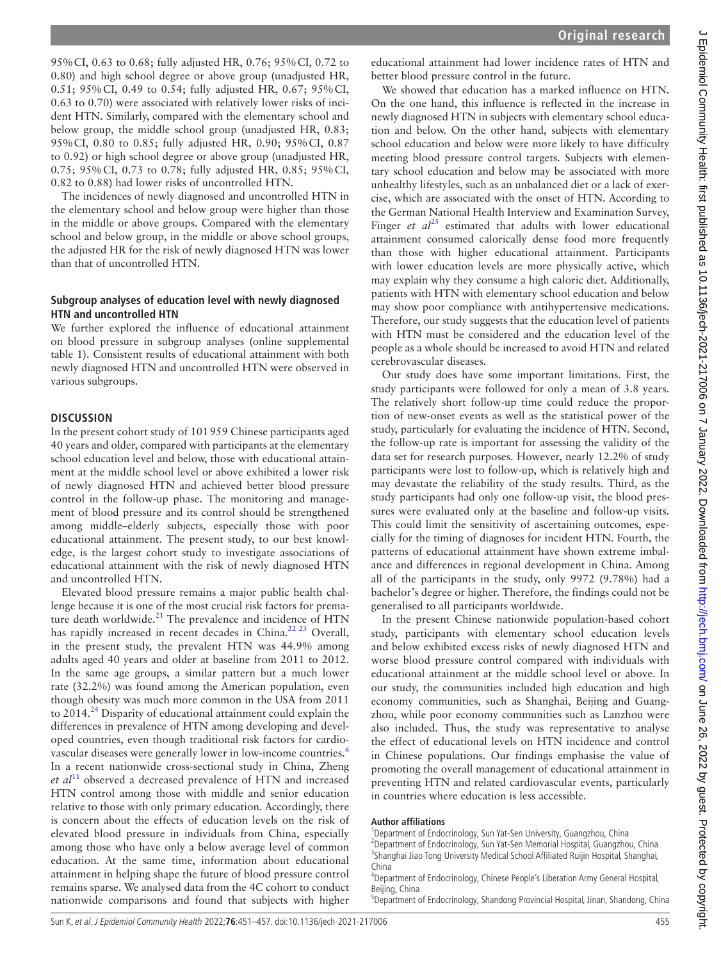95%CI, 0.63 to 0.68; fully adjusted HR, 0.76; 95%CI, 0.72 to 0.80) and high school degree or above group (unadjusted HR, 0.51; 95%CI, 0.49 to 0.54; fully adjusted HR, 0.67; 95%CI, 0.63 to 0.70) were associated with relatively lower risks of incident HTN. Similarly, compared with the elementary school and below group, the middle school group (unadjusted HR, 0.83; 95%CI, 0.80 to 0.85; fully adjusted HR, 0.90; 95%CI, 0.87 to 0.92) or high school degree or above group (unadjusted HR, 0.75; 95%CI, 0.73 to 0.78; fully adjusted HR, 0.85; 95%CI, 0.82 to 0.88) had lower risks of uncontrolled HTN.

The incidences of newly diagnosed and uncontrolled HTN in the elementary school and below group were higher than those in the middle or above groups. Compared with the elementary school and below group, in the middle or above school groups, the adjusted HR for the risk of newly diagnosed HTN was lower than that of uncontrolled HTN.

#### **Subgroup analyses of education level with newly diagnosed HTN and uncontrolled HTN**

We further explored the influence of educational attainment on blood pressure in subgroup analyses ([online supplemental](https://dx.doi.org/10.1136/jech-2021-217006)  [table 1](https://dx.doi.org/10.1136/jech-2021-217006)). Consistent results of educational attainment with both newly diagnosed HTN and uncontrolled HTN were observed in various subgroups.

#### **DISCUSSION**

In the present cohort study of 101959 Chinese participants aged 40 years and older, compared with participants at the elementary school education level and below, those with educational attainment at the middle school level or above exhibited a lower risk of newly diagnosed HTN and achieved better blood pressure control in the follow-up phase. The monitoring and management of blood pressure and its control should be strengthened among middle–elderly subjects, especially those with poor educational attainment. The present study, to our best knowledge, is the largest cohort study to investigate associations of educational attainment with the risk of newly diagnosed HTN and uncontrolled HTN.

Elevated blood pressure remains a major public health challenge because it is one of the most crucial risk factors for prema-ture death worldwide.<sup>[21](#page-6-6)</sup> The prevalence and incidence of HTN has rapidly increased in recent decades in China.<sup>22 23</sup> Overall, in the present study, the prevalent HTN was 44.9% among adults aged 40 years and older at baseline from 2011 to 2012. In the same age groups, a similar pattern but a much lower rate (32.2%) was found among the American population, even though obesity was much more common in the USA from 2011 to  $2014<sup>24</sup>$  $2014<sup>24</sup>$  $2014<sup>24</sup>$  Disparity of educational attainment could explain the differences in prevalence of HTN among developing and developed countries, even though traditional risk factors for cardio-vascular diseases were generally lower in low-income countries.<sup>[6](#page-5-3)</sup> In a recent nationwide cross-sectional study in China, Zheng *et al*[11](#page-5-7) observed a decreased prevalence of HTN and increased HTN control among those with middle and senior education relative to those with only primary education. Accordingly, there is concern about the effects of education levels on the risk of elevated blood pressure in individuals from China, especially among those who have only a below average level of common education. At the same time, information about educational attainment in helping shape the future of blood pressure control remains sparse. We analysed data from the 4C cohort to conduct nationwide comparisons and found that subjects with higher

educational attainment had lower incidence rates of HTN and better blood pressure control in the future.

We showed that education has a marked influence on HTN. On the one hand, this influence is reflected in the increase in newly diagnosed HTN in subjects with elementary school education and below. On the other hand, subjects with elementary school education and below were more likely to have difficulty meeting blood pressure control targets. Subjects with elementary school education and below may be associated with more unhealthy lifestyles, such as an unbalanced diet or a lack of exercise, which are associated with the onset of HTN. According to the German National Health Interview and Examination Survey, Finger *et*  $al^{25}$  estimated that adults with lower educational attainment consumed calorically dense food more frequently than those with higher educational attainment. Participants with lower education levels are more physically active, which may explain why they consume a high caloric diet. Additionally, patients with HTN with elementary school education and below may show poor compliance with antihypertensive medications. Therefore, our study suggests that the education level of patients with HTN must be considered and the education level of the people as a whole should be increased to avoid HTN and related cerebrovascular diseases.

Our study does have some important limitations. First, the study participants were followed for only a mean of 3.8 years. The relatively short follow-up time could reduce the proportion of new-onset events as well as the statistical power of the study, particularly for evaluating the incidence of HTN. Second, the follow-up rate is important for assessing the validity of the data set for research purposes. However, nearly 12.2% of study participants were lost to follow-up, which is relatively high and may devastate the reliability of the study results. Third, as the study participants had only one follow-up visit, the blood pressures were evaluated only at the baseline and follow-up visits. This could limit the sensitivity of ascertaining outcomes, especially for the timing of diagnoses for incident HTN. Fourth, the patterns of educational attainment have shown extreme imbalance and differences in regional development in China. Among all of the participants in the study, only 9972 (9.78%) had a bachelor's degree or higher. Therefore, the findings could not be generalised to all participants worldwide.

In the present Chinese nationwide population-based cohort study, participants with elementary school education levels and below exhibited excess risks of newly diagnosed HTN and worse blood pressure control compared with individuals with educational attainment at the middle school level or above. In our study, the communities included high education and high economy communities, such as Shanghai, Beijing and Guangzhou, while poor economy communities such as Lanzhou were also included. Thus, the study was representative to analyse the effect of educational levels on HTN incidence and control in Chinese populations. Our findings emphasise the value of promoting the overall management of educational attainment in preventing HTN and related cardiovascular events, particularly in countries where education is less accessible.

#### **Author affiliations**

- <sup>1</sup> Department of Endocrinology, Sun Yat-Sen University, Guangzhou, China<br><sup>2</sup> Department of Endocripology, Sun Yat Sen Memorial Hecpital Guangzho
- $^{2}$ Department of Endocrinology, Sun Yat-Sen Memorial Hospital, Guangzhou, China <sup>3</sup>Shanghai Jiao Tong University Medical School Affiliated Ruijin Hospital, Shanghai, China

J Epidemiol Community Health: first published as 10.1136/jech-2021-217006 on 7 January 2022. Downloaded from http://jech.bmj.com/ on June 26, 2022 by guest. Protected by copyright J Epidemiol Community Health: first published as 10.1136/jech-2021-217006 on 7 January 2022. Downloaded from <http://jech.bmj.com/> on June 26, 2022 by guest. Protected by copyright.

<sup>4</sup> Department of Endocrinology, Chinese People's Liberation Army General Hospital, Beijing, China

<sup>&</sup>lt;sup>5</sup>Department of Endocrinology, Shandong Provincial Hospital, Jinan, Shandong, China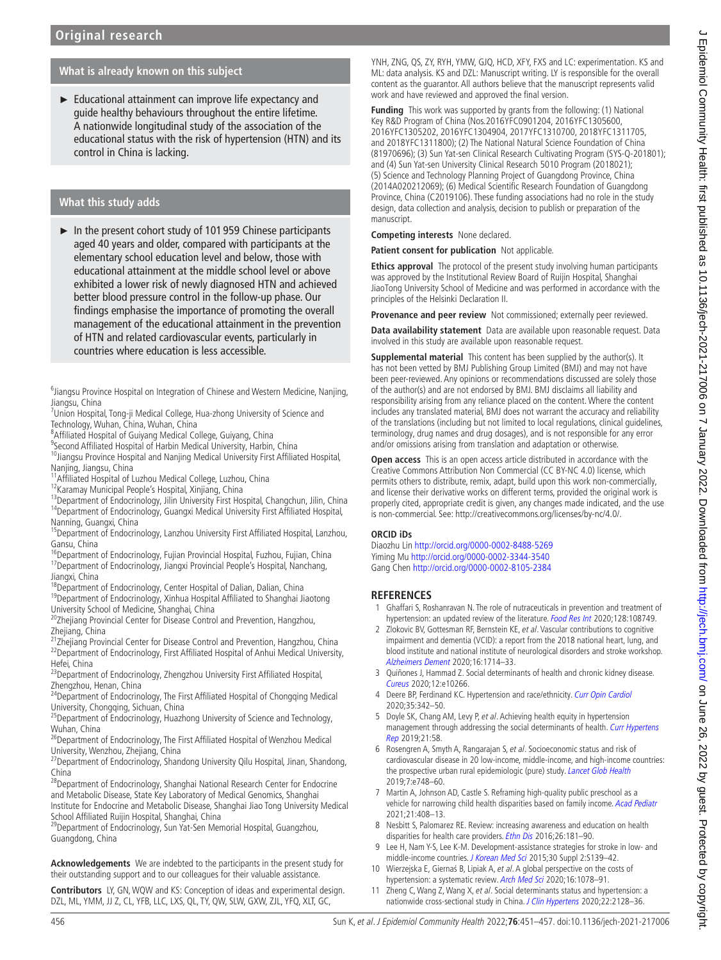### **What is already known on this subject**

► Educational attainment can improve life expectancy and guide healthy behaviours throughout the entire lifetime. A nationwide longitudinal study of the association of the educational status with the risk of hypertension (HTN) and its control in China is lacking.

### **What this study adds**

► In the present cohort study of 101 959 Chinese participants aged 40 years and older, compared with participants at the elementary school education level and below, those with educational attainment at the middle school level or above exhibited a lower risk of newly diagnosed HTN and achieved better blood pressure control in the follow-up phase. Our findings emphasise the importance of promoting the overall management of the educational attainment in the prevention of HTN and related cardiovascular events, particularly in countries where education is less accessible.

<sup>6</sup>Jiangsu Province Hospital on Integration of Chinese and Western Medicine, Nanjing, Jiangsu, China

- <sup>7</sup>Union Hospital, Tong-ji Medical College, Hua-zhong University of Science and Technology, Wuhan, China, Wuhan, China
- <sup>8</sup> Affiliated Hospital of Guiyang Medical College, Guiyang, China
- <sup>9</sup>Second Affiliated Hospital of Harbin Medical University, Harbin, China

<sup>10</sup>Jiangsu Province Hospital and Nanjing Medical University First Affiliated Hospital, Nanjing, Jiangsu, China

11<sub>Affiliated Hospital of Luzhou Medical College, Luzhou, China</sub>

- <sup>12</sup>Karamay Municipal People's Hospital, Xinjiang, China
- <sup>13</sup>Department of Endocrinology, Jilin University First Hospital, Changchun, Jilin, China <sup>14</sup>Department of Endocrinology, Guangxi Medical University First Affiliated Hospital, Nanning, Guangxi, China
- <sup>15</sup>Department of Endocrinology, Lanzhou University First Affiliated Hospital, Lanzhou,
- Gansu, China<br><sup>16</sup>Department of Endocrinology, Fujian Provincial Hospital, Fuzhou, Fujian, China <sup>17</sup>Department of Endocrinology, Jiangxi Provincial People's Hospital, Nanchang, Jiangxi, China

<sup>18</sup>Department of Endocrinology, Center Hospital of Dalian, Dalian, China

<sup>19</sup>Department of Endocrinology, Xinhua Hospital Affiliated to Shanghai Jiaotong University School of Medicine, Shanghai, China

20Zhejiang Provincial Center for Disease Control and Prevention, Hangzhou, Zhejiang, China

21<sub>Zhejiang</sub> Provincial Center for Disease Control and Prevention, Hangzhou, China <sup>22</sup>Department of Endocrinology, First Affiliated Hospital of Anhui Medical University, Hefei, China

<sup>23</sup>Department of Endocrinology, Zhengzhou University First Affiliated Hospital, Zhengzhou, Henan, China

<sup>24</sup>Department of Endocrinology, The First Affiliated Hospital of Chongqing Medical University, Chongqing, Sichuan, China

<sup>25</sup>Department of Endocrinology, Huazhong University of Science and Technology, Wuhan, China

<sup>26</sup>Department of Endocrinology, The First Affiliated Hospital of Wenzhou Medical University, Wenzhou, Zhejiang, China

 $^{27}$ Department of Endocrinology, Shandong University Qilu Hospital, Jinan, Shandong, China

<sup>28</sup>Department of Endocrinology, Shanghai National Research Center for Endocrine and Metabolic Disease, State Key Laboratory of Medical Genomics, Shanghai Institute for Endocrine and Metabolic Disease, Shanghai Jiao Tong University Medical School Affiliated Ruijin Hospital, Shanghai, China

<sup>29</sup>Department of Endocrinology, Sun Yat-Sen Memorial Hospital, Guangzhou, Guangdong, China

**Acknowledgements** We are indebted to the participants in the present study for their outstanding support and to our colleagues for their valuable assistance.

**Contributors** LY, GN, WQW and KS: Conception of ideas and experimental design. DZL, ML, YMM, JJ Z, CL, YFB, LLC, LXS, QL, TY, QW, SLW, GXW, ZJL, YFQ, XLT, GC,

YNH, ZNG, QS, ZY, RYH, YMW, GJQ, HCD, XFY, FXS and LC: experimentation. KS and ML: data analysis. KS and DZL: Manuscript writing. LY is responsible for the overall content as the guarantor. All authors believe that the manuscript represents valid work and have reviewed and approved the final version.

**Funding** This work was supported by grants from the following: (1) National Key R&D Program of China (Nos.2016YFC0901204, 2016YFC1305600, 2016YFC1305202, 2016YFC1304904, 2017YFC1310700, 2018YFC1311705, and 2018YFC1311800); (2) The National Natural Science Foundation of China (81970696); (3) Sun Yat-sen Clinical Research Cultivating Program (SYS-Q-201801); and (4) Sun Yat-sen University Clinical Research 5010 Program (2018021); (5) Science and Technology Planning Project of Guangdong Province, China (2014A020212069); (6) Medical Scientific Research Foundation of Guangdong Province, China (C2019106). These funding associations had no role in the study design, data collection and analysis, decision to publish or preparation of the manuscript.

**Competing interests** None declared.

**Patient consent for publication** Not applicable.

**Ethics approval** The protocol of the present study involving human participants was approved by the Institutional Review Board of Ruijin Hospital, Shanghai JiaoTong University School of Medicine and was performed in accordance with the principles of the Helsinki Declaration II.

**Provenance and peer review** Not commissioned; externally peer reviewed.

**Data availability statement** Data are available upon reasonable request. Data involved in this study are available upon reasonable request.

**Supplemental material** This content has been supplied by the author(s). It has not been vetted by BMJ Publishing Group Limited (BMJ) and may not have been peer-reviewed. Any opinions or recommendations discussed are solely those of the author(s) and are not endorsed by BMJ. BMJ disclaims all liability and responsibility arising from any reliance placed on the content. Where the content includes any translated material, BMJ does not warrant the accuracy and reliability of the translations (including but not limited to local regulations, clinical guidelines, terminology, drug names and drug dosages), and is not responsible for any error and/or omissions arising from translation and adaptation or otherwise.

**Open access** This is an open access article distributed in accordance with the Creative Commons Attribution Non Commercial (CC BY-NC 4.0) license, which permits others to distribute, remix, adapt, build upon this work non-commercially, and license their derivative works on different terms, provided the original work is properly cited, appropriate credit is given, any changes made indicated, and the use is non-commercial. See: [http://creativecommons.org/licenses/by-nc/4.0/.](http://creativecommons.org/licenses/by-nc/4.0/)

#### **ORCID iDs**

Diaozhu Lin <http://orcid.org/0000-0002-8488-5269> Yiming Mu <http://orcid.org/0000-0002-3344-3540> Gang Chen<http://orcid.org/0000-0002-8105-2384>

### **REFERENCES**

- <span id="page-5-0"></span>1 Ghaffari S, Roshanravan N. The role of nutraceuticals in prevention and treatment of hypertension: an updated review of the literature. [Food Res Int](http://dx.doi.org/10.1016/j.foodres.2019.108749) 2020;128:108749.
- <span id="page-5-1"></span>2 Zlokovic BV, Gottesman RF, Bernstein KE, et al. Vascular contributions to cognitive impairment and dementia (VCID): a report from the 2018 national heart, lung, and blood institute and national institute of neurological disorders and stroke workshop. [Alzheimers Dement](http://dx.doi.org/10.1002/alz.12157) 2020;16:1714–33.
- 3 Quiñones J, Hammad Z. Social determinants of health and chronic kidney disease. [Cureus](http://dx.doi.org/10.7759/cureus.10266) 2020;12:e10266.
- 4 Deere BP, Ferdinand KC. Hypertension and race/ethnicity. [Curr Opin Cardiol](http://dx.doi.org/10.1097/HCO.0000000000000742) 2020;35:342–50.
- <span id="page-5-2"></span>5 Doyle SK, Chang AM, Levy P, et al. Achieving health equity in hypertension management through addressing the social determinants of health. Curr Hypertens [Rep](http://dx.doi.org/10.1007/s11906-019-0962-7) 2019;21:58.
- <span id="page-5-3"></span>6 Rosengren A, Smyth A, Rangarajan S, et al. Socioeconomic status and risk of cardiovascular disease in 20 low-income, middle-income, and high-income countries: the prospective urban rural epidemiologic (pure) study. [Lancet Glob Health](http://dx.doi.org/10.1016/S2214-109X(19)30045-2) 2019;7:e748–60.
- <span id="page-5-4"></span>7 Martin A, Johnson AD, Castle S. Reframing high-quality public preschool as a vehicle for narrowing child health disparities based on family income. [Acad Pediatr](http://dx.doi.org/10.1016/j.acap.2020.07.004) 2021;21:408–13.
- 8 Nesbitt S, Palomarez RE. Review: increasing awareness and education on health disparities for health care providers. [Ethn Dis](http://dx.doi.org/10.18865/ed.26.2.181) 2016;26:181–90.
- <span id="page-5-5"></span>9 Lee H, Nam Y-S, Lee K-M. Development-assistance strategies for stroke in low- and middle-income countries. [J Korean Med Sci](http://dx.doi.org/10.3346/jkms.2015.30.S2.S139) 2015;30 Suppl 2:S139-42.
- <span id="page-5-6"></span>10 Wierzejska E, Giernaś B, Lipiak A, et al. A global perspective on the costs of hypertension: a systematic review. [Arch Med Sci](http://dx.doi.org/10.5114/aoms.2020.92689) 2020;16:1078–91.
- <span id="page-5-7"></span>11 Zheng C, Wang Z, Wang X, et al. Social determinants status and hypertension: a nationwide cross-sectional study in China. [J Clin Hypertens](http://dx.doi.org/10.1111/jch.14023) 2020;22:2128-36.